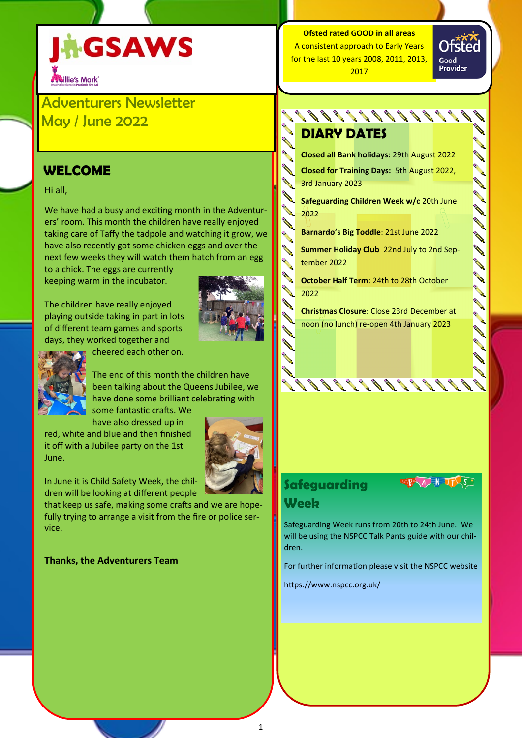# **AGSAWS Naillie's Mark**

Adventurers Newsletter May / June 2022

## **WELCOME**

## Hi all,

We have had a busy and exciting month in the Adventurers' room. This month the children have really enjoyed taking care of Taffy the tadpole and watching it grow, we have also recently got some chicken eggs and over the next few weeks they will watch them hatch from an egg

to a chick. The eggs are currently keeping warm in the incubator.

The children have really enjoyed playing outside taking in part in lots of different team games and sports days, they worked together and





The end of this month the children have been talking about the Queens Jubilee, we have done some brilliant celebrating with

some fantastic crafts. We have also dressed up in

red, white and blue and then finished it off with a Jubilee party on the 1st June.



In June it is Child Safety Week, the children will be looking at different people

that keep us safe, making some crafts and we are hopefully trying to arrange a visit from the fire or police service.

## **Thanks, the Adventurers Team**

## **Ofsted rated GOOD in all areas** A consistent approach to Early Years for the last 10 years 2008, 2011, 2013, 2017

Ofsted Good Provider

000000000000000000

## **DIARY DATES**

**Closed all Bank holidays:** 29th August 2022

**Closed for Training Days:** 5th August 2022, 3rd January 2023

**Safeguarding Children Week w/c** 20th June 2022

**Barnardo's Big Toddle**: 21st June 2022

**Summer Holiday Club** 22nd July to 2nd September 2022

**October Half Term**: 24th to 28th October 2022

**Christmas Closure**: Close 23rd December at noon (no lunch) re-open 4th January 2023

## **Safeguarding Week**



Safeguarding Week runs from 20th to 24th June. We will be using the NSPCC Talk Pants guide with our children.

For further information please visit the NSPCC website

https://www.nspcc.org.uk/